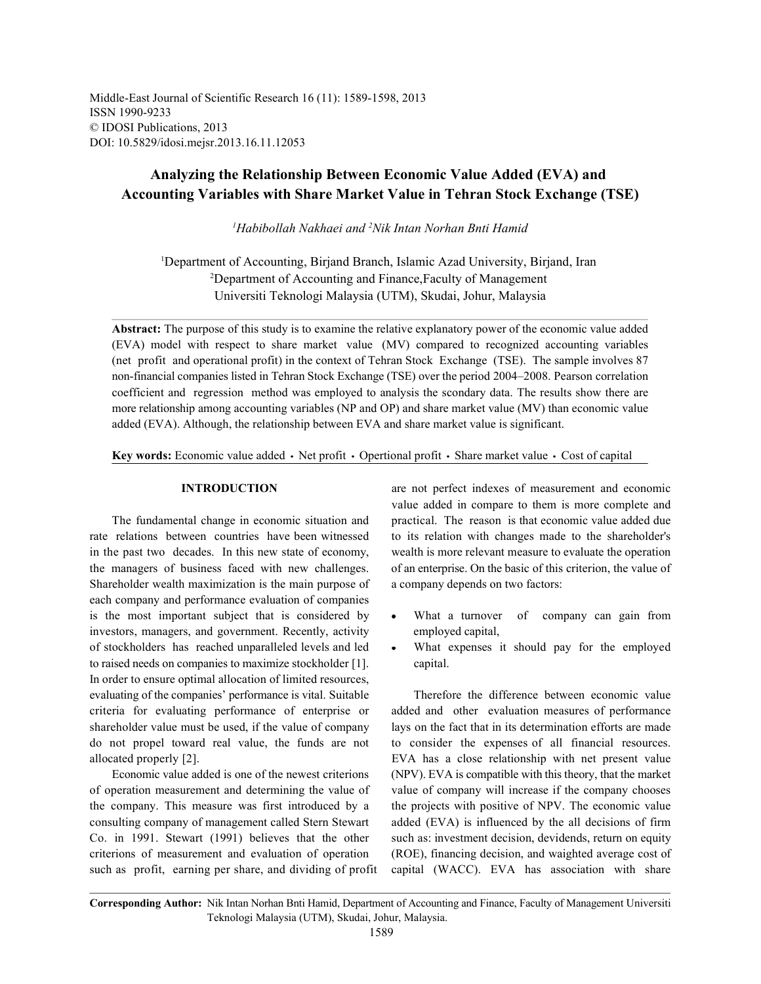Middle-East Journal of Scientific Research 16 (11): 1589-1598, 2013 ISSN 1990-9233 © IDOSI Publications, 2013 DOI: 10.5829/idosi.mejsr.2013.16.11.12053

# **Analyzing the Relationship Between Economic Value Added (EVA) and Accounting Variables with Share Market Value in Tehran Stock Exchange (TSE)**

<sup>1</sup>Habibollah Nakhaei and <sup>2</sup>Nik Intan Norhan Bnti Hamid

<sup>1</sup>Department of Accounting, Birjand Branch, Islamic Azad University, Birjand, Iran <sup>2</sup>Department of Accounting and Finance, Faculty of Management Universiti Teknologi Malaysia (UTM), Skudai, Johur, Malaysia

**Abstract:** The purpose of this study is to examine the relative explanatory power of the economic value added (EVA) model with respect to share market value (MV) compared to recognized accounting variables (net profit and operational profit) in the context of Tehran Stock Exchange (TSE). The sample involves 87 non-financial companies listed in Tehran Stock Exchange (TSE) over the period 2004–2008. Pearson correlation coefficient and regression method was employed to analysis the scondary data. The results show there are more relationship among accounting variables (NP and OP) and share market value (MV) than economic value added (EVA). Although, the relationship between EVA and share market value is significant.

Key words: Economic value added • Net profit • Opertional profit • Share market value • Cost of capital

rate relations between countries have been witnessed to its relation with changes made to the shareholder's in the past two decades. In this new state of economy, wealth is more relevant measure to evaluate the operation Shareholder wealth maximization is the main purpose of a company depends on two factors: each company and performance evaluation of companies is the most important subject that is considered by  $\bullet$  What a turnover of company can gain from investors, managers, and government. Recently, activity employed capital, of stockholders has reached unparalleled levels and led What expenses it should pay for the employed to raised needs on companies to maximize stockholder [1]. capital. In order to ensure optimal allocation of limited resources, evaluating of the companies' performance is vital. Suitable Therefore the difference between economic value criteria for evaluating performance of enterprise or added and other evaluation measures of performance shareholder value must be used, if the value of company lays on the fact that in its determination efforts are made do not propel toward real value, the funds are not to consider the expenses of all financial resources. allocated properly [2]. EVA has a close relationship with net present value

of operation measurement and determining the value of value of company will increase if the company chooses the company. This measure was first introduced by a the projects with positive of NPV. The economic value consulting company of management called Stern Stewart added (EVA) is influenced by the all decisions of firm Co. in 1991. Stewart (1991) believes that the other such as: investment decision, devidends, return on equity criterions of measurement and evaluation of operation (ROE), financing decision, and waighted average cost of such as profit, earning per share, and dividing of profit capital (WACC). EVA has association with share

**INTRODUCTION** are not perfect indexes of measurement and economic The fundamental change in economic situation and practical. The reason is that economic value added due the managers of business faced with new challenges. of an enterprise. On the basic of this criterion, the value of value added in compare to them is more complete and

- 
- 

Economic value added is one of the newest criterions (NPV). EVA is compatible with this theory, that the market

**Corresponding Author:** Nik Intan Norhan Bnti Hamid, Department of Accounting and Finance, Faculty of Management Universiti Teknologi Malaysia (UTM), Skudai, Johur, Malaysia.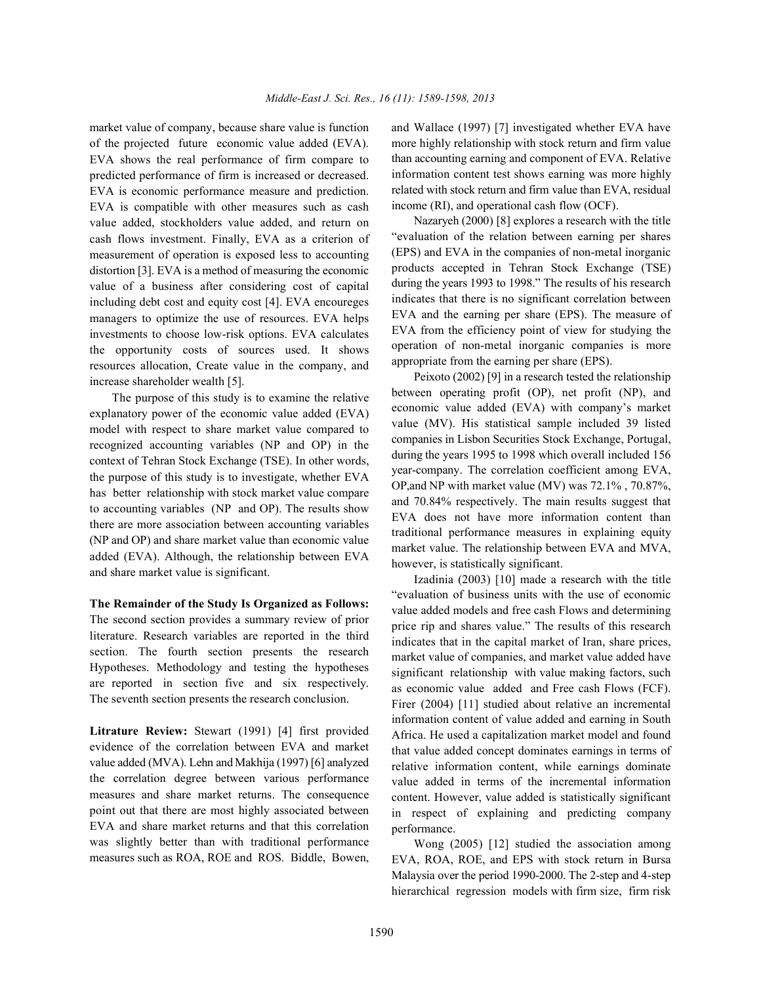of the projected future economic value added (EVA). EVA shows the real performance of firm compare to predicted performance of firm is increased or decreased. EVA is economic performance measure and prediction. EVA is compatible with other measures such as cash value added, stockholders value added, and return on cash flows investment. Finally, EVA as a criterion of measurement of operation is exposed less to accounting distortion [3]. EVA is a method of measuring the economic value of a business after considering cost of capital including debt cost and equity cost [4]. EVA encoureges managers to optimize the use of resources. EVA helps investments to choose low-risk options. EVA calculates the opportunity costs of sources used. It shows resources allocation, Create value in the company, and increase shareholder wealth [5].

The purpose of this study is to examine the relative explanatory power of the economic value added (EVA) model with respect to share market value compared to recognized accounting variables (NP and OP) in the context of Tehran Stock Exchange (TSE). In other words, the purpose of this study is to investigate, whether EVA has better relationship with stock market value compare to accounting variables (NP and OP). The results show there are more association between accounting variables (NP and OP) and share market value than economic value added (EVA). Although, the relationship between EVA and share market value is significant.

**The Remainder of the Study Is Organized as Follows:** The second section provides a summary review of prior literature. Research variables are reported in the third section. The fourth section presents the research Hypotheses. Methodology and testing the hypotheses are reported in section five and six respectively. The seventh section presents the research conclusion.

**Litrature Review:** Stewart (1991) [4] first provided evidence of the correlation between EVA and market value added (MVA). Lehn and Makhija (1997) [6] analyzed the correlation degree between various performance measures and share market returns. The consequence point out that there are most highly associated between EVA and share market returns and that this correlation was slightly better than with traditional performance measures such as ROA, ROE and ROS. Biddle, Bowen,

market value of company, because share value is function and Wallace (1997) [7] investigated whether EVA have more highly relationship with stock return and firm value than accounting earning and component of EVA. Relative information content test shows earning was more highly related with stock return and firm value than EVA, residual income (RI), and operational cash flow (OCF).

> Nazaryeh (2000) [8] explores a research with the title "evaluation of the relation between earning per shares (EPS) and EVA in the companies of non-metal inorganic products accepted in Tehran Stock Exchange (TSE) during the years 1993 to 1998." The results of his research indicates that there is no significant correlation between EVA and the earning per share (EPS). The measure of EVA from the efficiency point of view for studying the operation of non-metal inorganic companies is more appropriate from the earning per share (EPS).

> Peixoto (2002) [9] in a research tested the relationship between operating profit (OP), net profit (NP), and economic value added (EVA) with company's market value (MV). His statistical sample included 39 listed companies in Lisbon Securities Stock Exchange, Portugal, during the years 1995 to 1998 which overall included 156 year-company. The correlation coefficient among EVA, OP,and NP with market value (MV) was 72.1% , 70.87%, and 70.84% respectively. The main results suggest that EVA does not have more information content than traditional performance measures in explaining equity market value. The relationship between EVA and MVA, however, is statistically significant.

> Izadinia (2003) [10] made a research with the title "evaluation of business units with the use of economic value added models and free cash Flows and determining price rip and shares value." The results of this research indicates that in the capital market of Iran, share prices, market value of companies, and market value added have significant relationship with value making factors, such as economic value added and Free cash Flows (FCF). Firer (2004) [11] studied about relative an incremental information content of value added and earning in South Africa. He used a capitalization market model and found that value added concept dominates earnings in terms of relative information content, while earnings dominate value added in terms of the incremental information content. However, value added is statistically significant in respect of explaining and predicting company performance.

> Wong (2005) [12] studied the association among EVA, ROA, ROE, and EPS with stock return in Bursa Malaysia over the period 1990-2000. The 2-step and 4-step hierarchical regression models with firm size, firm risk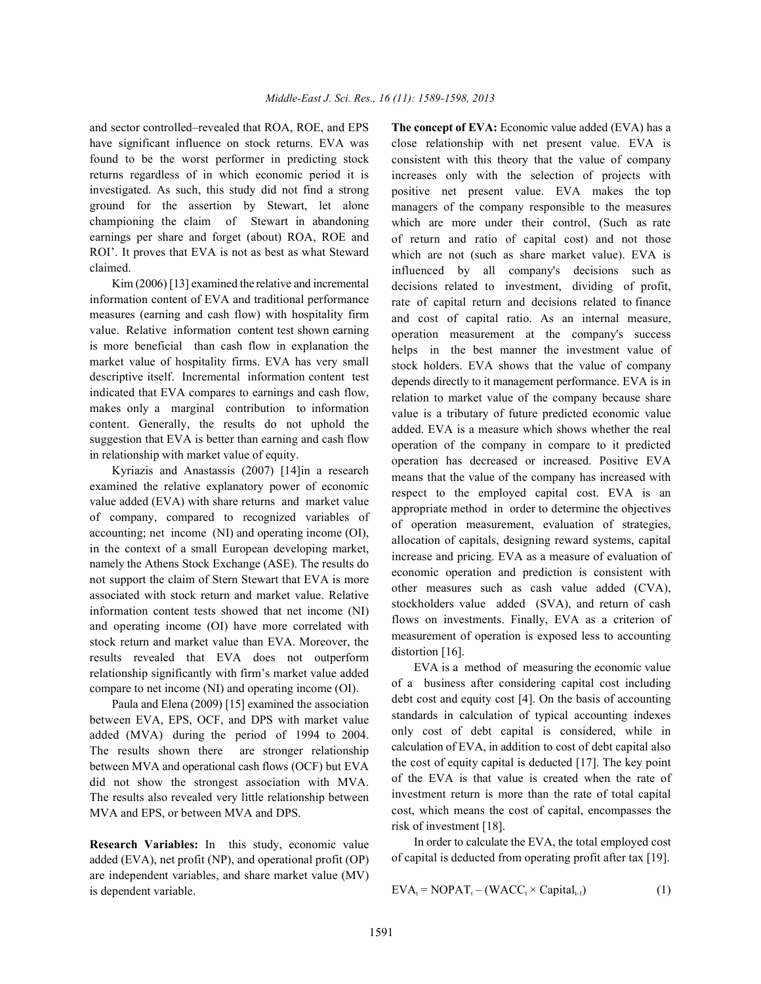and sector controlled–revealed that ROA, ROE, and EPS **The concept of EVA:** Economic value added (EVA) has a have significant influence on stock returns. EVA was found to be the worst performer in predicting stock returns regardless of in which economic period it is investigated. As such, this study did not find a strong ground for the assertion by Stewart, let alone championing the claim of Stewart in abandoning earnings per share and forget (about) ROA, ROE and ROI'. It proves that EVA is not as best as what Steward claimed.

Kim (2006) [13] examined the relative and incremental information content of EVA and traditional performance measures (earning and cash flow) with hospitality firm value. Relative information content test shown earning is more beneficial than cash flow in explanation the market value of hospitality firms. EVA has very small descriptive itself. Incremental information content test indicated that EVA compares to earnings and cash flow, makes only a marginal contribution to information content. Generally, the results do not uphold the suggestion that EVA is better than earning and cash flow in relationship with market value of equity.

Kyriazis and Anastassis (2007) [14]in a research examined the relative explanatory power of economic value added (EVA) with share returns and market value of company, compared to recognized variables of accounting; net income (NI) and operating income (OI), in the context of a small European developing market, namely the Athens Stock Exchange (ASE). The results do not support the claim of Stern Stewart that EVA is more associated with stock return and market value. Relative information content tests showed that net income (NI) and operating income (OI) have more correlated with stock return and market value than EVA. Moreover, the results revealed that EVA does not outperform relationship significantly with firm's market value added compare to net income (NI) and operating income (OI).

Paula and Elena (2009) [15] examined the association between EVA, EPS, OCF, and DPS with market value added (MVA) during the period of 1994 to 2004. The results shown there are stronger relationship between MVA and operational cash flows (OCF) but EVA did not show the strongest association with MVA. The results also revealed very little relationship between MVA and EPS, or between MVA and DPS.

**Research Variables:** In this study, economic value added (EVA), net profit (NP), and operational profit (OP) are independent variables, and share market value (MV) is dependent variable.

close relationship with net present value. EVA is consistent with this theory that the value of company increases only with the selection of projects with positive net present value. EVA makes the top managers of the company responsible to the measures which are more under their control, (Such as rate of return and ratio of capital cost) and not those which are not (such as share market value). EVA is influenced by all company's decisions such as decisions related to investment, dividing of profit, rate of capital return and decisions related to finance and cost of capital ratio. As an internal measure, operation measurement at the company's success helps in the best manner the investment value of stock holders. EVA shows that the value of company depends directly to it management performance. EVA is in relation to market value of the company because share value is a tributary of future predicted economic value added. EVA is a measure which shows whether the real operation of the company in compare to it predicted operation has decreased or increased. Positive EVA means that the value of the company has increased with respect to the employed capital cost. EVA is an appropriate method in order to determine the objectives of operation measurement, evaluation of strategies, allocation of capitals, designing reward systems, capital increase and pricing. EVA as a measure of evaluation of economic operation and prediction is consistent with other measures such as cash value added (CVA), stockholders value added (SVA), and return of cash flows on investments. Finally, EVA as a criterion of measurement of operation is exposed less to accounting distortion [16].

EVA is a method of measuring the economic value of a business after considering capital cost including debt cost and equity cost [4]. On the basis of accounting standards in calculation of typical accounting indexes only cost of debt capital is considered, while in calculation of EVA, in addition to cost of debt capital also the cost of equity capital is deducted [17]. The key point of the EVA is that value is created when the rate of investment return is more than the rate of total capital cost, which means the cost of capital, encompasses the risk of investment [18].

In order to calculate the EVA, the total employed cost of capital is deducted from operating profit after tax [19].

$$
EVA_t = NOPATH_t - (WACC_t \times Capital_{t-1})
$$
 (1)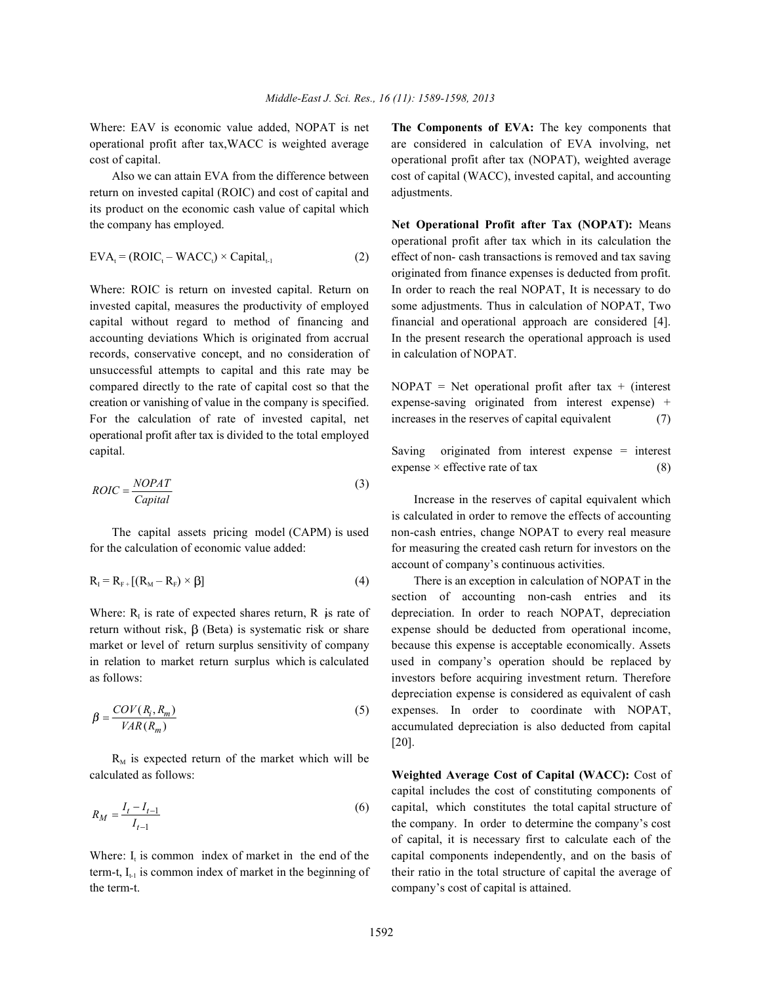return on invested capital (ROIC) and cost of capital and adjustments. its product on the economic cash value of capital which the company has employed. **Net Operational Profit after Tax (NOPAT):** Means

$$
EVA_t = (ROIC_t - WACC_t) \times Capital_{t-1}
$$
 (2)

invested capital, measures the productivity of employed some adjustments. Thus in calculation of NOPAT, Two capital without regard to method of financing and financial and operational approach are considered [4]. accounting deviations Which is originated from accrual In the present research the operational approach is used records, conservative concept, and no consideration of in calculation of NOPAT. unsuccessful attempts to capital and this rate may be compared directly to the rate of capital cost so that the NOPAT = Net operational profit after tax + (interest creation or vanishing of value in the company is specified. expense-saving originated from interest expense) + For the calculation of rate of invested capital, net increases in the reserves of capital equivalent (7) operational profit after tax is divided to the total employed capital. Saving originated from interest expense = interest

$$
ROIC = \frac{NOPATH}{Capital}
$$
 (3)

for the calculation of economic value added: for measuring the created cash return for investors on the

$$
R_{I} = R_{F+}[(R_{M} - R_{F}) \times \beta]
$$
\n
$$
(4)
$$

return without risk,  $\beta$  (Beta) is systematic risk or share expense should be deducted from operational income, market or level of return surplus sensitivity of company because this expense is acceptable economically. Assets in relation to market return surplus which is calculated used in company's operation should be replaced by as follows: investors before acquiring investment return. Therefore

$$
\beta = \frac{COV(R_i, R_m)}{VAR(R_m)}\tag{5}
$$

 $R_M$  is expected return of the market which will be calculated as follows: **Weighted Average Cost of Capital (WACC):** Cost of

$$
R_M = \frac{I_t - I_{t-1}}{I_{t-1}}
$$
\n(6)

term-t,  $I_{t-1}$  is common index of market in the beginning of their ratio in the total structure of capital the average of the term-t. company's cost of capital is attained.

Where: EAV is economic value added, NOPAT is net **The Components of EVA:** The key components that operational profit after tax,WACC is weighted average are considered in calculation of EVA involving, net cost of capital. operational profit after tax (NOPAT), weighted average Also we can attain EVA from the difference between cost of capital (WACC), invested capital, and accounting

effect of non- cash transactions is removed and tax saving Where: ROIC is return on invested capital. Return on In order to reach the real NOPAT, It is necessary to do operational profit after tax which in its calculation the originated from finance expenses is deducted from profit.

expense  $\times$  effective rate of tax (8)

The capital assets pricing model (CAPM) is used non-cash entries, change NOPAT to every real measure Increase in the reserves of capital equivalent which is calculated in order to remove the effects of accounting account of company's continuous activities.

There is an exception in calculation of NOPAT in the Where:  $R_1$  is rate of expected shares return, R is rate of depreciation. In order to reach NOPAT, depreciation expenses. In order to coordinate with NOPAT, section of accounting non-cash entries and its depreciation expense is considered as equivalent of cash accumulated depreciation is also deducted from capital [20].

capital, which constitutes the total capital structure of Where:  $I_i$  is common index of market in the end of the capital components independently, and on the basis of capital includes the cost of constituting components of the company. In order to determine the company's cost of capital, it is necessary first to calculate each of the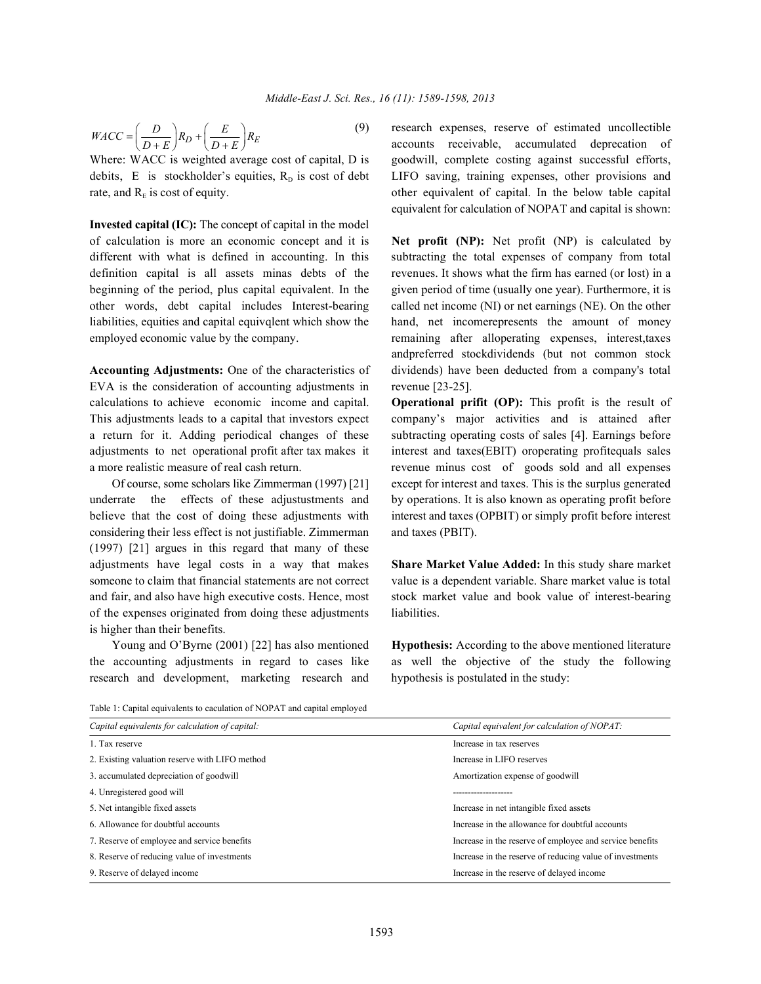$$
WACC = \left(\frac{D}{D+E}\right)R_D + \left(\frac{E}{D+E}\right)R_E\tag{9}
$$

Where: WACC is weighted average cost of capital, D is goodwill, complete costing against successful efforts, debits, E is stockholder's equities,  $R<sub>D</sub>$  is cost of debt LIFO saving, training expenses, other provisions and rate, and  $R<sub>F</sub>$  is cost of equity.  $\blacksquare$  other equivalent of capital. In the below table capital

**Invested capital (IC):** The concept of capital in the model of calculation is more an economic concept and it is **Net profit (NP):** Net profit (NP) is calculated by different with what is defined in accounting. In this subtracting the total expenses of company from total definition capital is all assets minas debts of the revenues. It shows what the firm has earned (or lost) in a beginning of the period, plus capital equivalent. In the given period of time (usually one year). Furthermore, it is other words, debt capital includes Interest-bearing called net income (NI) or net earnings (NE). On the other liabilities, equities and capital equivqlent which show the hand, net incomerepresents the amount of money employed economic value by the company. The remaining after alloperating expenses, interest, taxes

EVA is the consideration of accounting adjustments in revenue [23-25]. calculations to achieve economic income and capital. **Operational prifit (OP):** This profit is the result of This adjustments leads to a capital that investors expect company's major activities and is attained after a return for it. Adding periodical changes of these subtracting operating costs of sales [4]. Earnings before adjustments to net operational profit after tax makes it interest and taxes(EBIT) oroperating profitequals sales a more realistic measure of real cash return. revenue minus cost of goods sold and all expenses

underrate the effects of these adjustustments and by operations. It is also known as operating profit before believe that the cost of doing these adjustments with interest and taxes (OPBIT) or simply profit before interest considering their less effect is not justifiable. Zimmerman and taxes (PBIT). (1997) [21] argues in this regard that many of these adjustments have legal costs in a way that makes **Share Market Value Added:** In this study share market someone to claim that financial statements are not correct value is a dependent variable. Share market value is total and fair, and also have high executive costs. Hence, most stock market value and book value of interest-bearing of the expenses originated from doing these adjustments liabilities. is higher than their benefits.

research and development, marketing research and hypothesis is postulated in the study:

research expenses, reserve of estimated uncollectible accounts receivable, accumulated deprecation of equivalent for calculation of NOPAT and capital is shown:

**Accounting Adjustments:** One of the characteristics of dividends) have been deducted from a company's total andpreferred stockdividends (but not common stock

Of course, some scholars like Zimmerman (1997) [21] except for interest and taxes. This is the surplus generated

Young and O'Byrne (2001) [22] has also mentioned **Hypothesis:** According to the above mentioned literature the accounting adjustments in regard to cases like as well the objective of the study the following

Table 1: Capital equivalents to caculation of NOPAT and capital employed

| Capital equivalents for calculation of capital:                                                         | Capital equivalent for calculation of NOPAT:             |  |
|---------------------------------------------------------------------------------------------------------|----------------------------------------------------------|--|
| 1. Tax reserve                                                                                          | Increase in tax reserves                                 |  |
| 2. Existing valuation reserve with LIFO method                                                          | Increase in LIFO reserves                                |  |
| 3. accumulated depreciation of goodwill                                                                 | Amortization expense of goodwill                         |  |
| 4. Unregistered good will                                                                               |                                                          |  |
| 5. Net intangible fixed assets                                                                          | Increase in net intangible fixed assets                  |  |
| 6. Allowance for doubtful accounts                                                                      | Increase in the allowance for doubtful accounts          |  |
| 7. Reserve of employee and service benefits                                                             | Increase in the reserve of employee and service benefits |  |
| 8. Reserve of reducing value of investments<br>Increase in the reserve of reducing value of investments |                                                          |  |
| 9. Reserve of delayed income                                                                            | Increase in the reserve of delayed income                |  |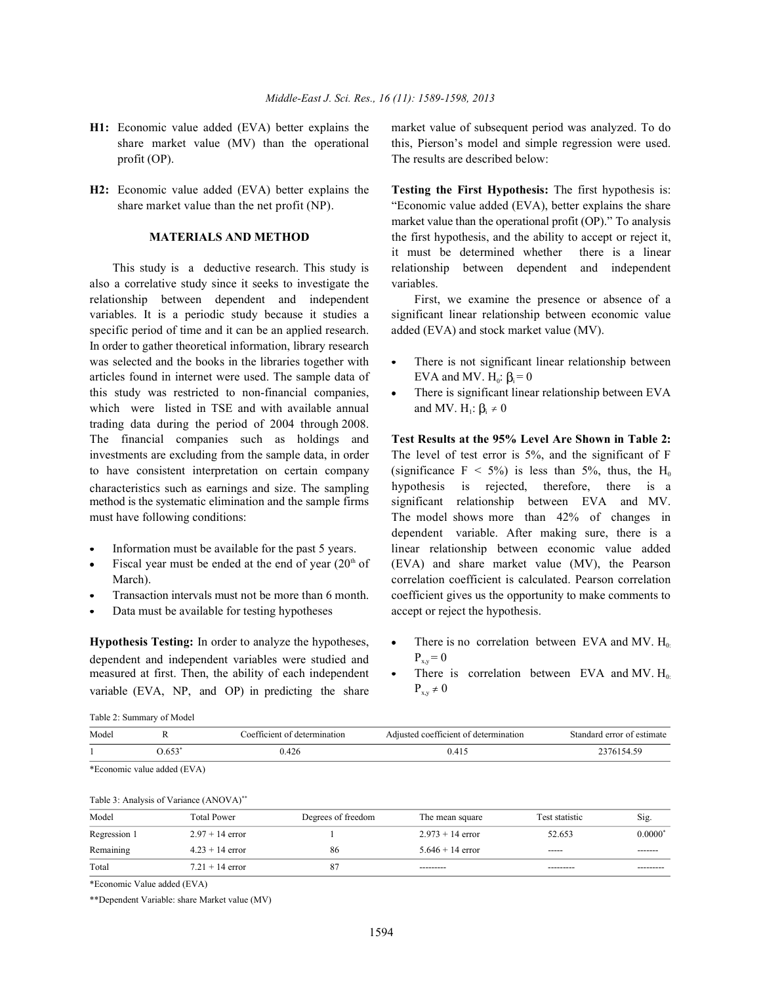- profit (OP). The results are described below:
- 

also a correlative study since it seeks to investigate the variables. relationship between dependent and independent First, we examine the presence or absence of a variables. It is a periodic study because it studies a significant linear relationship between economic value specific period of time and it can be an applied research. added (EVA) and stock market value (MV). In order to gather theoretical information, library research was selected and the books in the libraries together with  $\bullet$  There is not significant linear relationship between articles found in internet were used. The sample data of this study was restricted to non-financial companies, • There is significant linear relationship between EVA which were listed in TSE and with available annual trading data during the period of 2004 through 2008. The financial companies such as holdings and **Test Results at the 95% Level Are Shown in Table 2:** investments are excluding from the sample data, in order The level of test error is 5%, and the significant of F to have consistent interpretation on certain company characteristics such as earnings and size. The sampling

- 
- 
- 
- Data must be available for testing hypotheses accept or reject the hypothesis.

**Hypothesis Testing:** In order to analyze the hypotheses, measured at first. Then, the ability of each independent dependent and independent variables were studied and variable (EVA,  $NP$ , and  $OP$ ) in predicting the share

**H1:** Economic value added (EVA) better explains the market value of subsequent period was analyzed. To do share market value (MV) than the operational this, Pierson's model and simple regression were used.

**H2:** Economic value added (EVA) better explains the **Testing the First Hypothesis:** The first hypothesis is: share market value than the net profit (NP). "Economic value added (EVA), better explains the share **MATERIALS AND METHOD** the first hypothesis, and the ability to accept or reject it, This study is a deductive research. This study is relationship between dependent and independent market value than the operational profit (OP)." To analysis it must be determined whether there is a linear

- EVA and MV.  $H_0$ :  $\beta = 0$
- and MV.  $H_1$ :  $\beta_i \neq 0$

hypothesis is rejected, therefore, there is a method is the systematic elimination and the sample firms significant relationship between EVA and MV. must have following conditions: The model shows more than 42% of changes in Information must be available for the past 5 years. linear relationship between economic value added Fiscal year must be ended at the end of year  $(20<sup>th</sup>$  of (EVA) and share market value (MV), the Pearson March). Correlation coefficient is calculated. Pearson correlation Transaction intervals must not be more than 6 month. coefficient gives us the opportunity to make comments to (significance  $F < 5\%$ ) is less than 5%, thus, the H<sub>0</sub> dependent variable. After making sure, there is a

- $P_{\rm xv} = 0$ There is no correlation between EVA and MV.  $H_0$ .
- $P_{x,y} \neq 0$ There is correlation between EVA and MV.  $H_0$ .

Table 2: Summary of Model

| Model        | R                                       | Coefficient of determination |                    | Adjusted coefficient of determination |                | Standard error of estimate |
|--------------|-----------------------------------------|------------------------------|--------------------|---------------------------------------|----------------|----------------------------|
|              | $0.653*$                                | 0.426                        |                    | 0.415                                 |                | 2376154.59                 |
|              | *Economic value added (EVA)             |                              |                    |                                       |                |                            |
|              | Table 3: Analysis of Variance (ANOVA)** |                              |                    |                                       |                |                            |
| Model        |                                         | <b>Total Power</b>           | Degrees of freedom | The mean square                       | Test statistic | Sig.                       |
| Regression 1 |                                         | $2.97 + 14$ error            |                    | $2.973 + 14$ error                    | 52.653         | $0.0000$ <sup>*</sup>      |
| Remaining    |                                         | $4.23 + 14$ error            | 86                 | $5.646 + 14$ error                    | ------         | ------                     |
| Total        |                                         | $7.21 + 14$ error            | 87                 |                                       |                |                            |

\*Economic Value added (EVA)

\*\*Dependent Variable: share Market value (MV)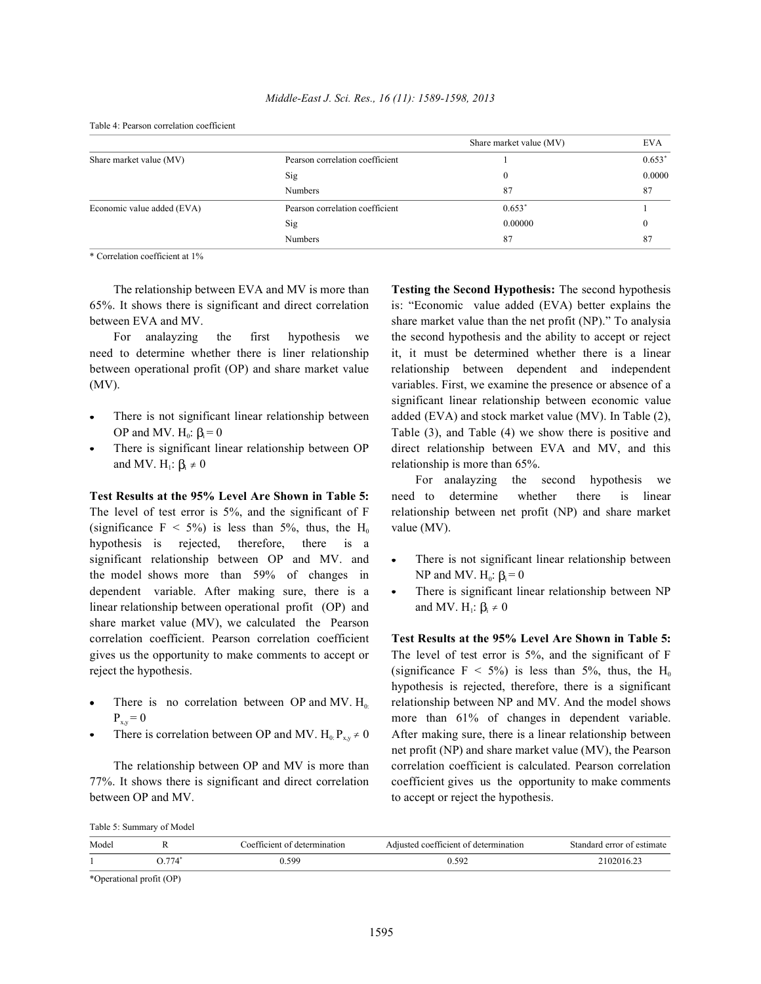|                            |                                 | Share market value (MV) | <b>EVA</b> |
|----------------------------|---------------------------------|-------------------------|------------|
| Share market value (MV)    | Pearson correlation coefficient |                         | 0.653"     |
|                            | Sig                             | $\Omega$                | 0.0000     |
|                            | <b>Numbers</b>                  | 87                      | 87         |
| Economic value added (EVA) | Pearson correlation coefficient | $0.653*$                |            |
|                            | Sig                             | 0.00000                 |            |
|                            | <b>Numbers</b>                  | 87                      | 87         |

Table 4: Pearson correlation coefficient

\* Correlation coefficient at 1%

65%. It shows there is significant and direct correlation is: "Economic value added (EVA) better explains the between EVA and MV. Share market value than the net profit (NP)." To analysia

need to determine whether there is liner relationship it, it must be determined whether there is a linear between operational profit (OP) and share market value relationship between dependent and independent (MV). variables. First, we examine the presence or absence of a

- 
- and MV.  $H_i: \beta_i \neq 0$  relationship is more than 65%.

The level of test error is 5%, and the significant of F relationship between net profit (NP) and share market (significance  $F < 5\%$ ) is less than 5%, thus, the H<sub>0</sub> value (MV). hypothesis is rejected, therefore, there is a significant relationship between OP and MV. and • There is not significant linear relationship between the model shows more than  $59%$  of changes in dependent variable. After making sure, there is a • There is significant linear relationship between NP linear relationship between operational profit (OP) and share market value (MV), we calculated the Pearson correlation coefficient. Pearson correlation coefficient **Test Results at the 95% Level Are Shown in Table 5:** gives us the opportunity to make comments to accept or The level of test error is 5%, and the significant of F

- 
- 

77%. It shows there is significant and direct correlation coefficient gives us the opportunity to make comments between OP and MV. to accept or reject the hypothesis.

The relationship between EVA and MV is more than **Testing the Second Hypothesis:** The second hypothesis For analayzing the first hypothesis we the second hypothesis and the ability to accept or reject There is not significant linear relationship between added (EVA) and stock market value (MV). In Table (2), OP and MV.  $H_0: \beta_0 = 0$  Table (3), and Table (4) we show there is positive and There is significant linear relationship between OP direct relationship between EVA and MV, and this significant linear relationship between economic value

**Test Results at the 95% Level Are Shown in Table 5:** need to determine whether there is linear For analayzing the second hypothesis we

- NP and MV.  $H_0$ :  $\beta_i = 0$
- and MV.  $H_1$ :  $\beta_i \neq 0$

reject the hypothesis. (significance  $F < 5\%$ ) is less than 5%, thus, the H<sub>0</sub> There is no correlation between OP and MV.  $H_0$  relationship between NP and MV. And the model shows  $P_{xy} = 0$  more than 61% of changes in dependent variable. There is correlation between OP and MV. H<sub>0</sub>:  $P_{xy} \neq 0$  After making sure, there is a linear relationship between The relationship between OP and MV is more than correlation coefficient is calculated. Pearson correlation hypothesis is rejected, therefore, there is a significant net profit (NP) and share market value (MV), the Pearson

| Model |                                                                   | rficient of determination<br>∩≏t | Adjusted coefficient of determination | error of<br>Standard<br>estimate |
|-------|-------------------------------------------------------------------|----------------------------------|---------------------------------------|----------------------------------|
|       | $\overline{H}$ $\overline{H}$ $\overline{H}$ $\overline{H}$<br>74 | 599                              | 592                                   | 2102016.23                       |
|       |                                                                   |                                  |                                       |                                  |

\*Operational profit (OP)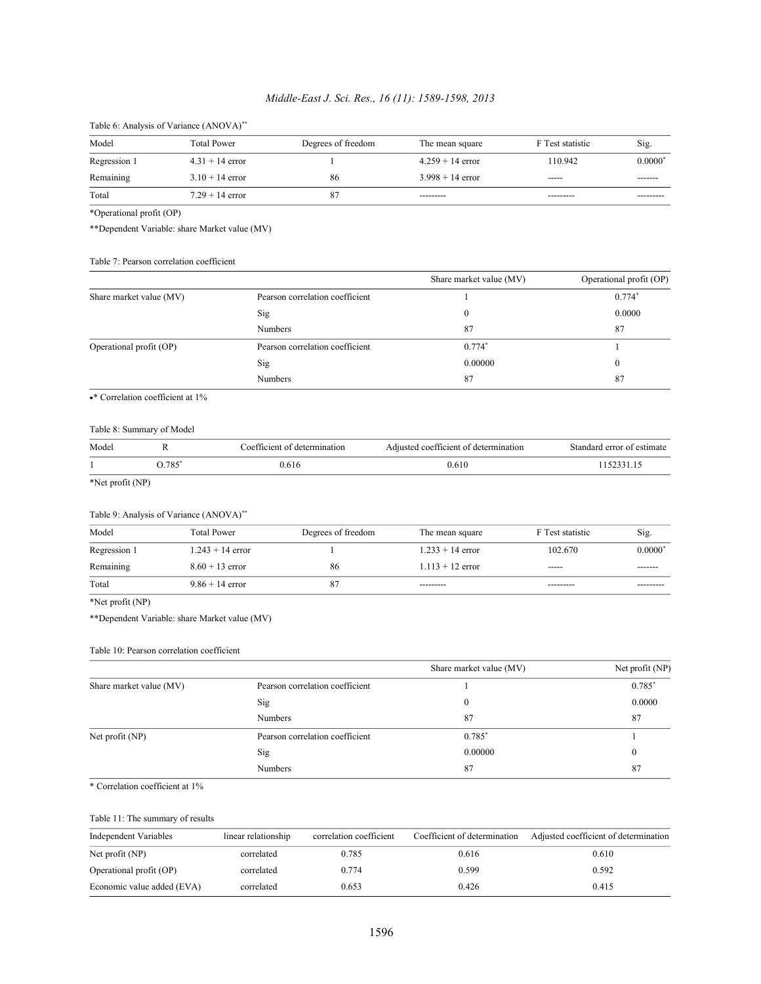# *Middle-East J. Sci. Res., 16 (11): 1589-1598, 2013*

| Table 0. Allarysis of $\bf{v}$ ariance (APO $\bf{v}$ A) |                    |                    |                    |                  |           |  |
|---------------------------------------------------------|--------------------|--------------------|--------------------|------------------|-----------|--|
| Model                                                   | <b>Total Power</b> | Degrees of freedom | The mean square    | F Test statistic | Sig.      |  |
| Regression 1                                            | $4.31 + 14$ error  |                    | $4.259 + 14$ error | 110.942          | $0.0000*$ |  |
| Remaining                                               | $3.10 + 14$ error  | 86                 | $3.998 + 14$ error | ------           | -------   |  |
| Total                                                   | $7.29 + 14$ error  |                    | ----------         |                  | --------- |  |

Table 6: Analysis of Variance (ANOVA)\*\*

\*Operational profit (OP)

\*\*Dependent Variable: share Market value (MV)

### Table 7: Pearson correlation coefficient

|                         |                                 | Share market value (MV) | Operational profit (OP) |
|-------------------------|---------------------------------|-------------------------|-------------------------|
| Share market value (MV) | Pearson correlation coefficient |                         | $0.774*$                |
|                         | Sig                             | $_{0}$                  | 0.0000                  |
|                         | <b>Numbers</b>                  | 87                      | 87                      |
| Operational profit (OP) | Pearson correlation coefficient | $0.774*$                |                         |
|                         | Sig                             | 0.00000                 |                         |
|                         | <b>Numbers</b>                  | 87                      | 87                      |

\*\* Correlation coefficient at 1%

### Table 8: Summary of Model

| Model |     | Coefficient of determination | Adjusted coefficient of determination | Standard error of estimate |
|-------|-----|------------------------------|---------------------------------------|----------------------------|
|       | 785 |                              |                                       |                            |

\*Net profit (NP)

### Table 9: Analysis of Variance (ANOVA)\*\*

| Model        | <b>Total Power</b> | Degrees of freedom | The mean square    | F Test statistic | Sig.                  |
|--------------|--------------------|--------------------|--------------------|------------------|-----------------------|
| Regression 1 | $1.243 + 14$ error |                    | $1.233 + 14$ error | 102.670          | $0.0000$ <sup>*</sup> |
| Remaining    | $8.60 + 13$ error  | 86                 | $1.113 + 12$ error | ------           |                       |
| Total        | $9.86 + 14$ error  | 87                 | ----------         | ---------        |                       |

### \*Net profit (NP)

\*\*Dependent Variable: share Market value (MV)

### Table 10: Pearson correlation coefficient

|                         |                                 | Share market value (MV) | Net profit (NP) |
|-------------------------|---------------------------------|-------------------------|-----------------|
| Share market value (MV) | Pearson correlation coefficient |                         | $0.785*$        |
|                         | Sig                             | $_{0}$                  | 0.0000          |
|                         | <b>Numbers</b>                  | 87                      | 87              |
| Net profit $(NP)$       | Pearson correlation coefficient | $0.785*$                |                 |
|                         | Sig                             | 0.00000                 | 0               |
|                         | Numbers                         | 87                      | 87              |

# \* Correlation coefficient at 1%

# Table 11: The summary of results

| Independent Variables      | linear relationship | correlation coefficient | Coefficient of determination | Adjusted coefficient of determination |
|----------------------------|---------------------|-------------------------|------------------------------|---------------------------------------|
| Net profit $(NP)$          | correlated          | 0.785                   | 0.616                        | 0.610                                 |
| Operational profit (OP)    | correlated          | 0.774                   | 0.599                        | 0.592                                 |
| Economic value added (EVA) | correlated          | 0.653                   | 0.426                        | 0.415                                 |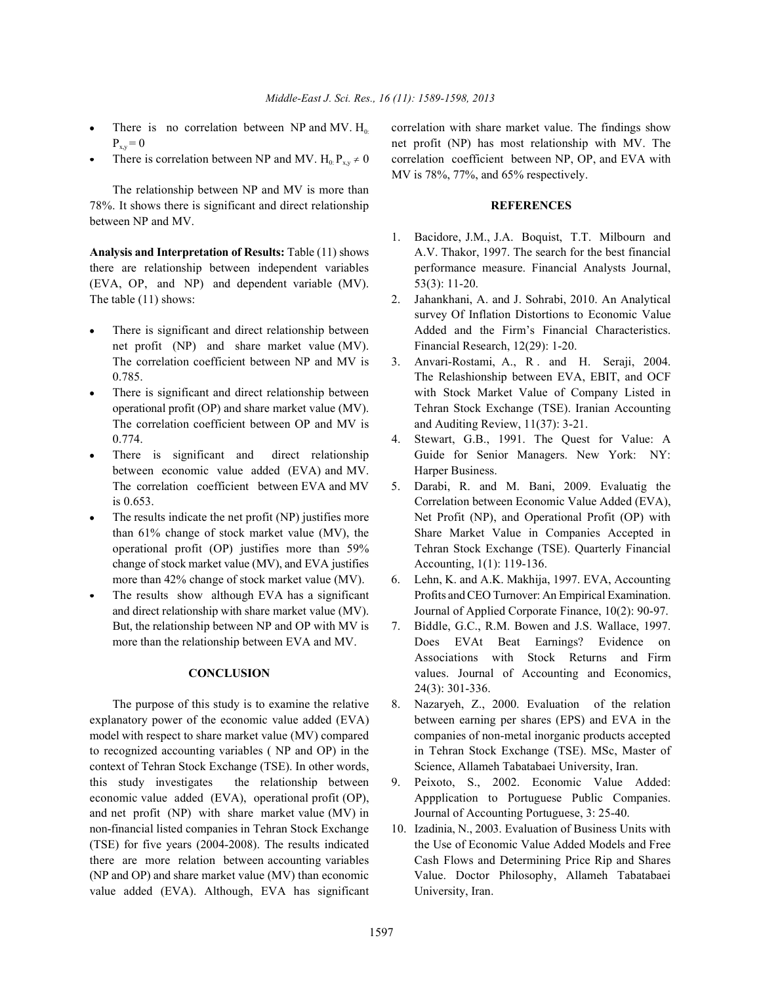- 
- 

The relationship between NP and MV is more than 78%. It shows there is significant and direct relationship **REFERENCES** between NP and MV.

there are relationship between independent variables performance measure. Financial Analysts Journal, (EVA, OP, and NP) and dependent variable (MV). 53(3): 11-20. The table (11) shows: 2. Jahankhani, A. and J. Sohrabi, 2010. An Analytical

- net profit (NP) and share market value (MV). Financial Research, 12(29): 1-20. The correlation coefficient between NP and MV is 3. Anvari-Rostami, A., R. and H. Seraji, 2004.
- The correlation coefficient between OP and MV is and Auditing Review, 11(37): 3-21. 0.774. 4. Stewart, G.B., 1991. The Quest for Value: A
- between economic value added (EVA) and MV. Harper Business.
- change of stock market value (MV), and EVA justifies  $\alpha$  Accounting, 1(1): 119-136.
- 

context of Tehran Stock Exchange (TSE). In other words, Science, Allameh Tabatabaei University, Iran. this study investigates the relationship between 9. Peixoto, S., 2002. Economic Value Added: economic value added (EVA), operational profit (OP), Appplication to Portuguese Public Companies. and net profit (NP) with share market value (MV) in Journal of Accounting Portuguese, 3: 25-40. non-financial listed companies in Tehran Stock Exchange 10. Izadinia, N., 2003. Evaluation of Business Units with (TSE) for five years (2004-2008). The results indicated the Use of Economic Value Added Models and Free there are more relation between accounting variables Cash Flows and Determining Price Rip and Shares (NP and OP) and share market value (MV) than economic Value. Doctor Philosophy, Allameh Tabatabaei value added (EVA). Although, EVA has significant University, Iran.

There is no correlation between NP and MV.  $H_0$  correlation with share market value. The findings show  $P_{xy} = 0$  and profit (NP) has most relationship with MV. The There is correlation between NP and MV.  $H_0$ :  $P_{xy} \ne 0$  correlation coefficient between NP, OP, and EVA with MV is 78%, 77%, and 65% respectively.

- **Analysis and Interpretation of Results:** Table (11) shows A.V. Thakor, 1997. The search for the best financial 1. Bacidore, J.M., J.A. Boquist, T.T. Milbourn and
	- There is significant and direct relationship between Added and the Firm's Financial Characteristics. survey Of Inflation Distortions to Economic Value
	- 0.785. The Relashionship between EVA, EBIT, and OCF There is significant and direct relationship between with Stock Market Value of Company Listed in operational profit (OP) and share market value (MV). Tehran Stock Exchange (TSE). Iranian Accounting
	- There is significant and direct relationship Guide for Senior Managers. New York: NY:
	- The correlation coefficient between EVA and MV 5. Darabi, R. and M. Bani, 2009. Evaluatig the is 0.653. Correlation between Economic Value Added (EVA), The results indicate the net profit (NP) justifies more Net Profit (NP), and Operational Profit (OP) with than 61% change of stock market value (MV), the Share Market Value in Companies Accepted in operational profit (OP) justifies more than 59% Tehran Stock Exchange (TSE). Quarterly Financial
	- more than 42% change of stock market value (MV). 6. Lehn, K. and A.K. Makhija, 1997. EVA, Accounting The results show although EVA has a significant Profits and CEO Turnover: An Empirical Examination. and direct relationship with share market value (MV). Journal of Applied Corporate Finance, 10(2): 90-97.
	- But, the relationship between NP and OP with MV is 7. Biddle, G.C., R.M. Bowen and J.S. Wallace, 1997. more than the relationship between EVA and MV. Does EVAt Beat Earnings? Evidence on **CONCLUSION** values. Journal of Accounting and Economics, Associations with Stock Returns and Firm 24(3): 301-336.
- The purpose of this study is to examine the relative 8. Nazaryeh, Z., 2000. Evaluation of the relation explanatory power of the economic value added (EVA) between earning per shares (EPS) and EVA in the model with respect to share market value (MV) compared companies of non-metal inorganic products accepted to recognized accounting variables ( NP and OP) in the in Tehran Stock Exchange (TSE). MSc, Master of
	-
	-